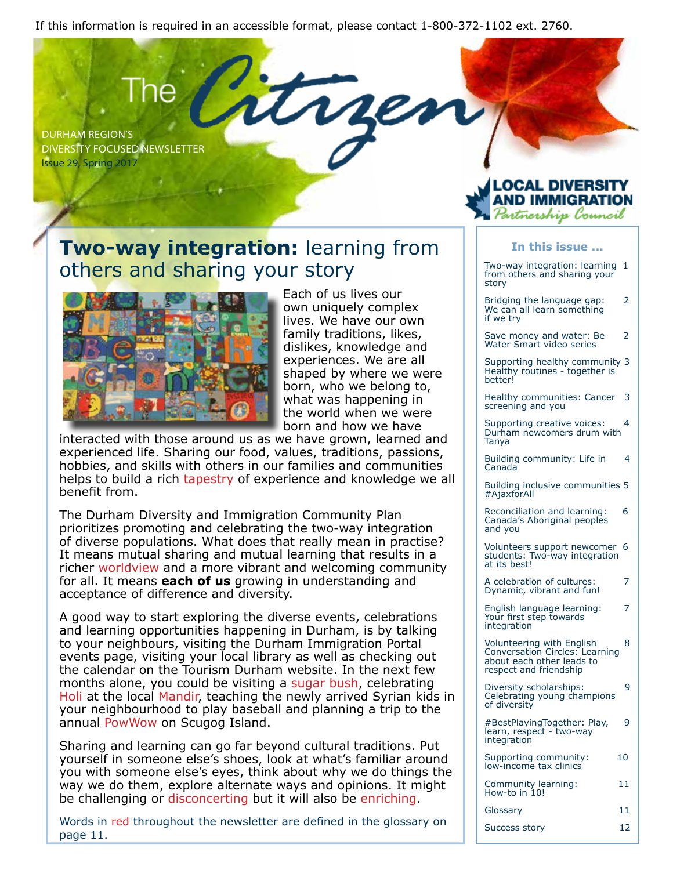If this information is required in an accessible format, please contact 1-800-372-1102 ext. 2760.

DURHAM REGION'S DIVERSITY FOCUSED NEWSLETTER Issue 29, Spring 2017

## **Two-way integration:** learning from others and sharing your story



Each of us lives our own uniquely complex lives. We have our own family traditions, likes, dislikes, knowledge and experiences. We are all shaped by where we were born, who we belong to, what was happening in the world when we were born and how we have

interacted with those around us as we have grown, learned and experienced life. Sharing our food, values, traditions, passions, hobbies, and skills with others in our families and communities helps to build a rich tapestry of experience and knowledge we all benefit from.

The Durham Diversity and Immigration Community Plan prioritizes promoting and celebrating the two-way integration of diverse populations. What does that really mean in practise? It means mutual sharing and mutual learning that results in a richer worldview and a more vibrant and welcoming community for all. It means **each of us** growing in understanding and acceptance of difference and diversity.

A good way to start exploring the diverse events, celebrations and learning opportunities happening in Durham, is by talking to your neighbours, visiting the Durham Immigration Portal events page, visiting your local library as well as checking out the calendar on the Tourism Durham website. In the next few months alone, you could be visiting a sugar bush, celebrating Holi at the local Mandir, teaching the newly arrived Syrian kids in your neighbourhood to play baseball and planning a trip to the annual PowWow on Scugog Island.

Sharing and learning can go far beyond cultural traditions. Put yourself in someone else's shoes, look at what's familiar around you with someone else's eyes, think about why we do things the way we do them, explore alternate ways and opinions. It might be challenging or disconcerting but it will also be enriching.

Words in red throughout the newsletter are defined in the glossary on page 11.



#### **In this issue ...**

Two-way integration: learning 1 from others and sharing your story

Bridging the language gap: 2 We can all learn something if we try

Save money and water: Be 2 Water Smart video series

Supporting healthy community 3 Healthy routines - together is better!

Healthy communities: Cancer 3 screening and you

Supporting creative voices: 4 Durham newcomers drum with Tanya

Building community: Life in 4 Canada

Building inclusive communities 5 #AjaxforAll

Reconciliation and learning: 6 Canada's Aboriginal peoples and you

Volunteers support newcomer 6 students: Two-way integration at its best!

A celebration of cultures: 7 Dynamic, vibrant and fun!

English language learning: 7 Your first step towards integration

Volunteering with English 8 Conversation Circles: Learning about each other leads to respect and friendship

Diversity scholarships: 9 Celebrating young champions of diversity

#BestPlayingTogether: Play, 9 learn, respect - two-way integration

Supporting community: 10 low-income tax clinics

Community learning: 11 How-to in 10!

Glossary 11

Success story 12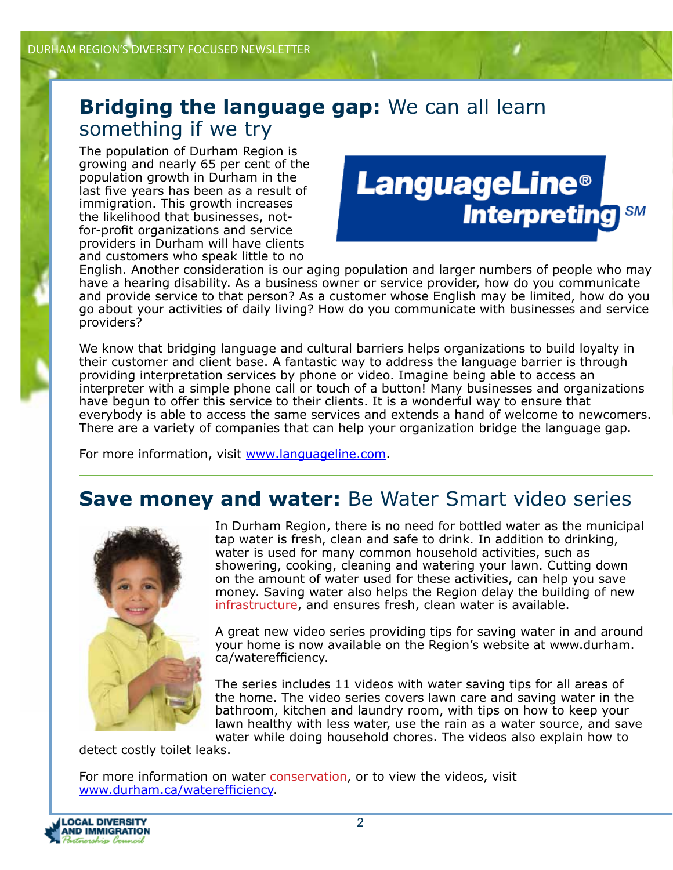### **Bridging the language gap:** We can all learn something if we try

The population of Durham Region is growing and nearly 65 per cent of the population growth in Durham in the last five years has been as a result of immigration. This growth increases the likelihood that businesses, notfor-profit organizations and service providers in Durham will have clients and customers who speak little to no



English. Another consideration is our aging population and larger numbers of people who may have a hearing disability. As a business owner or service provider, how do you communicate and provide service to that person? As a customer whose English may be limited, how do you go about your activities of daily living? How do you communicate with businesses and service providers?

We know that bridging language and cultural barriers helps organizations to build loyalty in their customer and client base. A fantastic way to address the language barrier is through providing interpretation services by phone or video. Imagine being able to access an interpreter with a simple phone call or touch of a button! Many businesses and organizations have begun to offer this service to their clients. It is a wonderful way to ensure that everybody is able to access the same services and extends a hand of welcome to newcomers. There are a variety of companies that can help your organization bridge the language gap.

For more information, visit www.languageline.com.

### **Save money and water:** Be Water Smart video series



In Durham Region, there is no need for bottled water as the municipal tap water is fresh, clean and safe to drink. In addition to drinking, water is used for many common household activities, such as showering, cooking, cleaning and watering your lawn. Cutting down on the amount of water used for these activities, can help you save money. Saving water also helps the Region delay the building of new infrastructure, and ensures fresh, clean water is available.

A great new video series providing tips for saving water in and around your home is now available on the Region's website at www.durham. ca/waterefficiency.

The series includes 11 videos with water saving tips for all areas of the home. The video series covers lawn care and saving water in the bathroom, kitchen and laundry room, with tips on how to keep your lawn healthy with less water, use the rain as a water source, and save water while doing household chores. The videos also explain how to

detect costly toilet leaks.

For more information on water conservation, or to view the videos, visit www.durham.ca/waterefficiency.

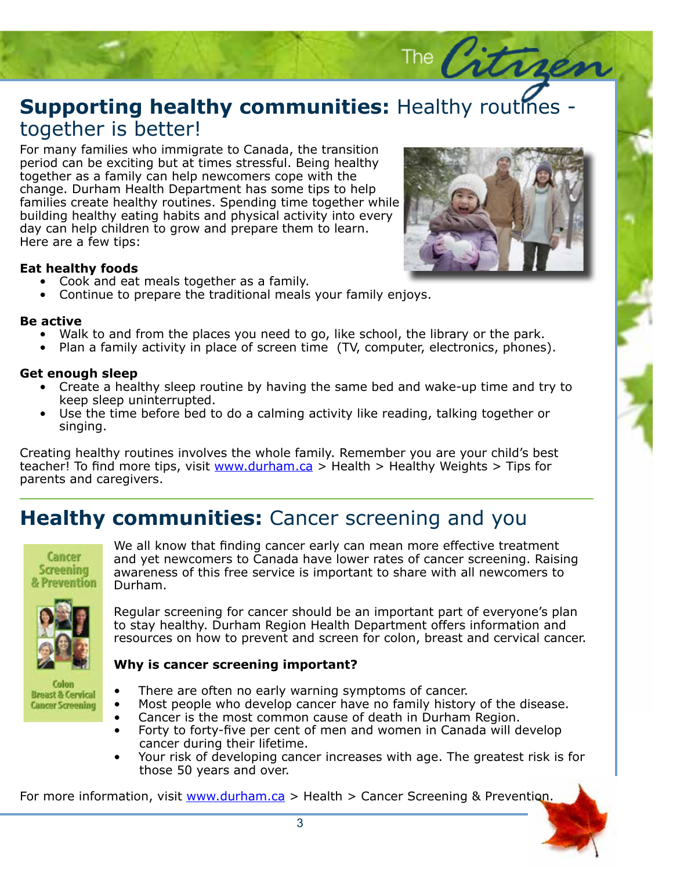## **Supporting healthy communities:** Healthy routines -<br>together is better! together is better!

For many families who immigrate to Canada, the transition<br>period can be exciting but at times stressful. Being healthy period can be exciting but at times stressful. Being healthy together as a family can help newcomers cope with the change. Durham Health Department has some tips to help families create healthy routines. Spending time together while building healthy eating habits and physical activity into every day can help children to grow and prepare them to learn. Here are a few tips:

#### **Eat healthy foods**

- Cook and eat meals together as a family.
- Continue to prepare the traditional meals your family enjoys.

#### **Be active**

- Walk to and from the places you need to go, like school, the library or the park.
- active<br>• Walk to and from the places you need to go, like school, the library or the park.<br>• Plan a family activity in place of screen time (TV, computer, electronics, phones).

#### **Get enough sleep**

- t enough sleep<br>• Create a healthy sleep routine by having the same bed and wake-up time and try to keep sleep uninterrupted.
- Use the time before bed to do a calming activity like reading, talking together or singing.

Creating healthy routines involves the whole family. Remember you are your child's best teacher! To find more tips, visit www.durham.ca > Health > Healthy Weights > Tips for parents and caregivers.

### **Healthy communities:** Cancer screening and you



We all know that finding cancer early can mean more effective treatment and yet newcomers to Canada have lower rates of cancer screening. Raising awareness of this free service is important to share with all newcomers to Durham.



Regular screening for cancer should be an important part of everyone's plan to stay healthy. Durham Region Health Department offers information and resources on how to prevent and screen for colon, breast and cervical cancer.

#### **Why is cancer screening important?**

- Colon **Breast & Cervical Cancer Screening**
- There are often no early warning symptoms of cancer.
- Most people who develop cancer have no family history of the disease.
- Cancer is the most common cause of death in Durham Region.
- Forty to forty-five per cent of men and women in Canada will develop cancer during their lifetime.
- Your risk of developing cancer increases with age. The greatest risk is for those 50 years and over.

For more information, visit www.durham.ca > Health > Cancer Screening & Prevention.



The Citrre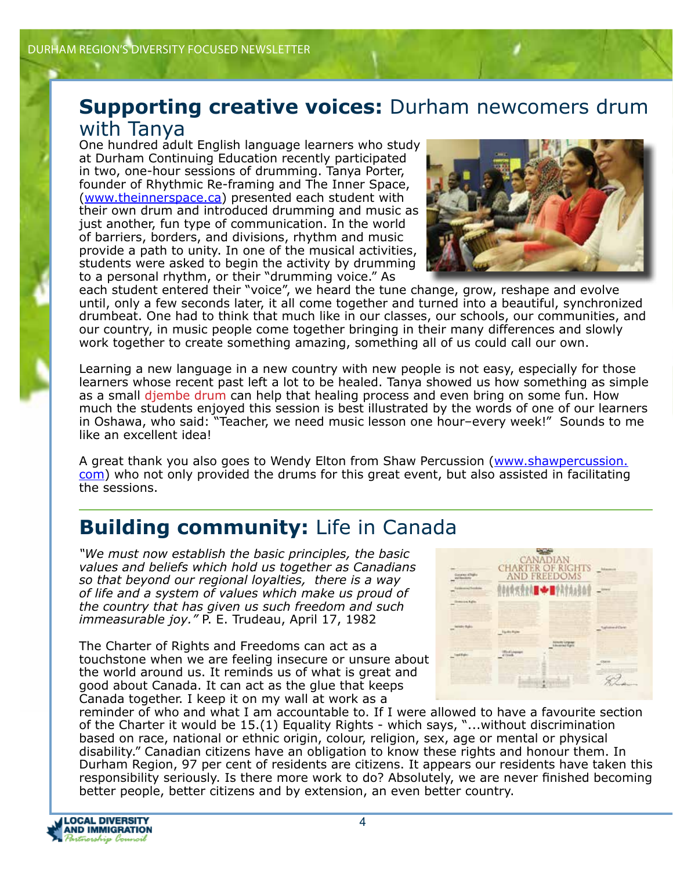## **Supporting creative voices:** Durham newcomers drum

#### with Tanya

One hundred adult English language learners who study at Durham Continuing Education recently participated in two, one-hour sessions of drumming. Tanya Porter, founder of Rhythmic Re-framing and The Inner Space, (www.theinnerspace.ca) presented each student with their own drum and introduced drumming and music as just another, fun type of communication. In the world of barriers, borders, and divisions, rhythm and music provide a path to unity. In one of the musical activities, students were asked to begin the activity by drumming to a personal rhythm, or their "drumming voice." As



each student entered their "voice", we heard the tune change, grow, reshape and evolve until, only a few seconds later, it all come together and turned into a beautiful, synchronized drumbeat. One had to think that much like in our classes, our schools, our communities, and our country, in music people come together bringing in their many differences and slowly work together to create something amazing, something all of us could call our own.

Learning a new language in a new country with new people is not easy, especially for those learners whose recent past left a lot to be healed. Tanya showed us how something as simple as a small djembe drum can help that healing process and even bring on some fun. How much the students enjoyed this session is best illustrated by the words of one of our learners in Oshawa, who said: "Teacher, we need music lesson one hour–every week!" Sounds to me like an excellent idea!

A great thank you also goes to Wendy Elton from Shaw Percussion (www.shawpercussion. com) who not only provided the drums for this great event, but also assisted in facilitating the sessions.

## **Building community:** Life in Canada

*"We must now establish the basic principles, the basic values and beliefs which hold us together as Canadians so that beyond our regional loyalties, there is a way of life and a system of values which make us proud of the country that has given us such freedom and such immeasurable joy."* P. E. Trudeau, April 17, 1982

The Charter of Rights and Freedoms can act as a touchstone when we are feeling insecure or unsure about the world around us. It reminds us of what is great and good about Canada. It can act as the glue that keeps Canada together. I keep it on my wall at work as a



reminder of who and what I am accountable to. If I were allowed to have a favourite section of the Charter it would be 15.(1) Equality Rights - which says, "...without discrimination based on race, national or ethnic origin, colour, religion, sex, age or mental or physical disability." Canadian citizens have an obligation to know these rights and honour them. In Durham Region, 97 per cent of residents are citizens. It appears our residents have taken this responsibility seriously. Is there more work to do? Absolutely, we are never finished becoming better people, better citizens and by extension, an even better country.

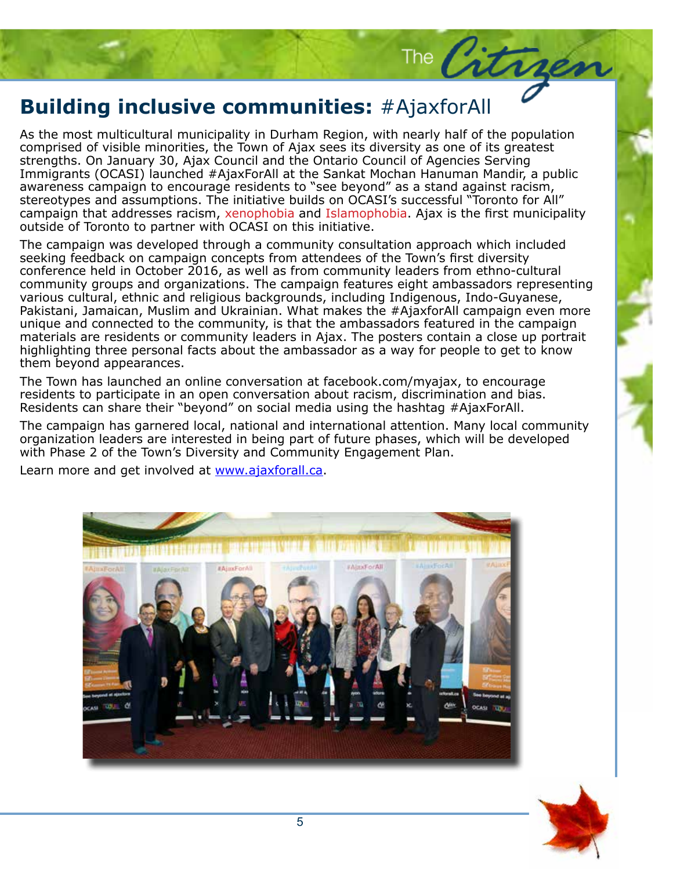# **Building inclusive communities:** #AjaxforAll

comprised of visible minorities, the Town of Ajax sees its diversity as one of its great<br>strengths. On January 30, Ajax Council and the Ontario Council of Agencies Serving As the most multicultural municipality in Durham Region, with nearly half of the population comprised of visible minorities, the Town of Ajax sees its diversity as one of its greatest Immigrants (OCASI) launched #AjaxForAll at the Sankat Mochan Hanuman Mandir, a public awareness campaign to encourage residents to "see beyond" as a stand against racism, stereotypes and assumptions. The initiative builds on OCASI's successful "Toronto for All" campaign that addresses racism, xenophobia and Islamophobia. Ajax is the first municipality outside of Toronto to partner with OCASI on this initiative.

The Citrogen

featured in the campaign<br>contain a close up portrait<br>or people to get to know The campaign was developed through a community consultation approach which included seeking feedback on campaign concepts from attendees of the Town's first diversity conference held in October 2016, as well as from community leaders from ethno-cultural community groups and organizations. The campaign features eight ambassadors representing various cultural, ethnic and religious backgrounds, including Indigenous, Indo-Guyanese, Pakistani, Jamaican, Muslim and Ukrainian. What makes the #AjaxforAll campaign even more unique and connected to the community, is that the ambassadors featured in the campaign materials are residents or community leaders in Ajax. The posters contain a close up portrait highlighting three personal facts about the ambassador as a way for people to get to know them beyond appearances.

tnem beyona appearances.<br>The Town has launched an online conversation at facebook.com/myajax, to encourage residents to participate in an open conversation about racism, discrimination and bias. Residents can share their "beyond" on social media using the hashtag #AjaxForAll.

The campaign has garnered local, national and international attention. Many local community organization leaders are interested in being part of future phases, which will be developed with Phase 2 of the Town's Diversity and Community Engagement Plan.

Learn more and get involved at www.ajaxforall.ca.



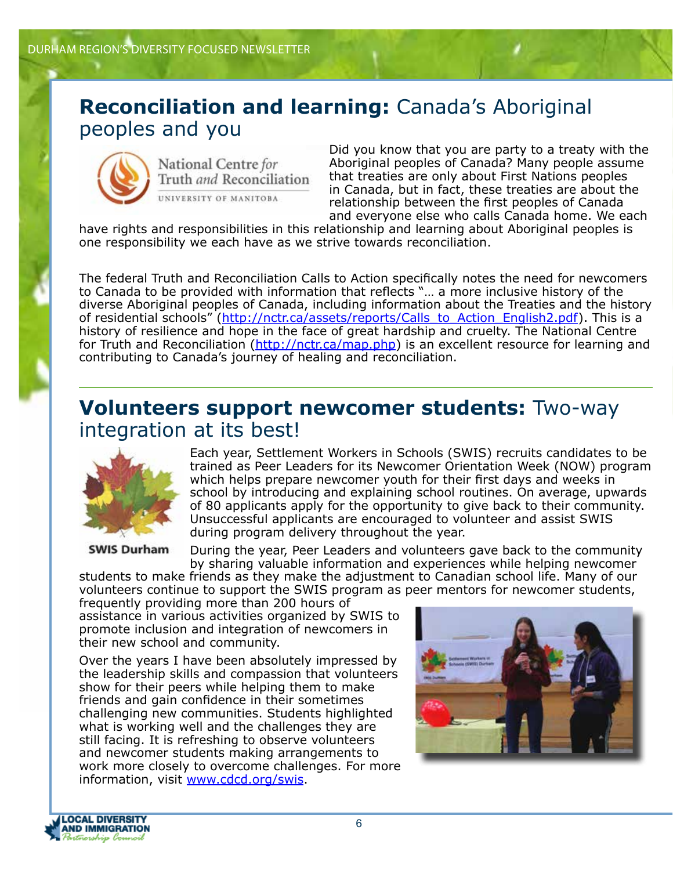#### **Reconciliation and learning:** Canada's Aboriginal peoples and you



National Centre for Truth and Reconciliation UNIVERSITY OF MANITOBA

Did you know that you are party to a treaty with the Aboriginal peoples of Canada? Many people assume that treaties are only about First Nations peoples in Canada, but in fact, these treaties are about the relationship between the first peoples of Canada and everyone else who calls Canada home. We each

have rights and responsibilities in this relationship and learning about Aboriginal peoples is one responsibility we each have as we strive towards reconciliation.

The federal Truth and Reconciliation Calls to Action specifically notes the need for newcomers to Canada to be provided with information that reflects "… a more inclusive history of the diverse Aboriginal peoples of Canada, including information about the Treaties and the history of residential schools" (http://nctr.ca/assets/reports/Calls\_to\_Action\_English2.pdf). This is a history of resilience and hope in the face of great hardship and cruelty. The National Centre for Truth and Reconciliation (http://nctr.ca/map.php) is an excellent resource for learning and contributing to Canada's journey of healing and reconciliation.

#### **Volunteers support newcomer students:** Two-way integration at its best!



**SWIS Durham** 

Each year, Settlement Workers in Schools (SWIS) recruits candidates to be trained as Peer Leaders for its Newcomer Orientation Week (NOW) program which helps prepare newcomer youth for their first days and weeks in school by introducing and explaining school routines. On average, upwards of 80 applicants apply for the opportunity to give back to their community. Unsuccessful applicants are encouraged to volunteer and assist SWIS during program delivery throughout the year.

During the year, Peer Leaders and volunteers gave back to the community by sharing valuable information and experiences while helping newcomer

students to make friends as they make the adjustment to Canadian school life. Many of our volunteers continue to support the SWIS program as peer mentors for newcomer students,

frequently providing more than 200 hours of assistance in various activities organized by SWIS to promote inclusion and integration of newcomers in their new school and community.

Over the years I have been absolutely impressed by the leadership skills and compassion that volunteers show for their peers while helping them to make friends and gain confidence in their sometimes challenging new communities. Students highlighted what is working well and the challenges they are still facing. It is refreshing to observe volunteers and newcomer students making arrangements to work more closely to overcome challenges. For more information, visit www.cdcd.org/swis.



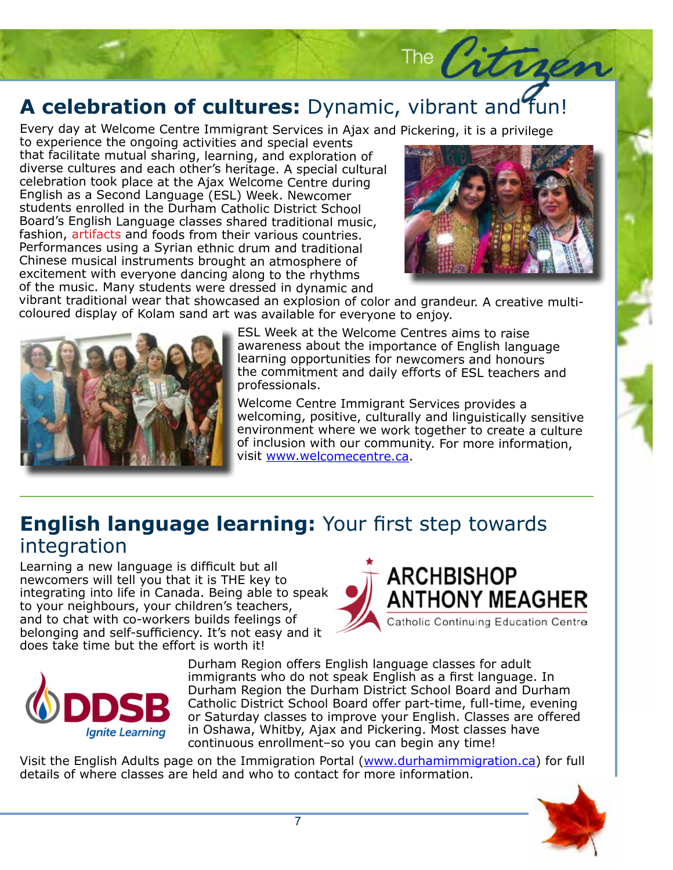## **A celebration of cultures:** Dynamic, vibrant and fun!

Every day at Welcome Centre Immigrant Services in Ajax and Pickering, it is a privilege

to experience the ongoing activities and special events that facilitate mutual sharing, learning, and exploration of diverse cultures and each other's heritage. A special cultural celebration took place at the Ajax Welcome Centre during English as a Second Language (ESL) Week. Newcomer students enrolled in the Durham Catholic District School Board's English Language classes shared traditional music, fashion, artifacts and foods from their various countries. Performances using a Syrian ethnic drum and traditional Chinese musical instruments brought an atmosphere of excitement with everyone dancing along to the rhythms of the music. Many students were dressed in dynamic and



The Citragen

vibrant traditional wear that showcased an explosion of color and grandeur. A creative multicoloured display of Kolam sand art was available for everyone to enjoy.



ESL Week at the Welcome Centres aims to raise awareness about the importance of English language learning opportunities for newcomers and honours the commitment and daily efforts of ESL teachers and professionals.

Welcome Centre Immigrant Services provides a welcoming, positive, culturally and linguistically sensitive environment where we work together to create a culture of inclusion with our community. For more information, visit www.welcomecentre.ca.

#### **English language learning:** Your first step towards integration

Learning a new language is difficult but all newcomers will tell you that it is THE key to integrating into life in Canada. Being able to speak to your neighbours, your children's teachers, and to chat with co-workers builds feelings of belonging and self-sufficiency. It's not easy and it does take time but the effort is worth it!





Durham Region offers English language classes for adult immigrants who do not speak English as a first language. In Durham Region the Durham District School Board and Durham Catholic District School Board offer part-time, full-time, evening or Saturday classes to improve your English. Classes are offered in Oshawa, Whitby, Ajax and Pickering. Most classes have continuous enrollment–so you can begin any time!

Visit the English Adults page on the Immigration Portal (www.durhamimmigration.ca) for full details of where classes are held and who to contact for more information.

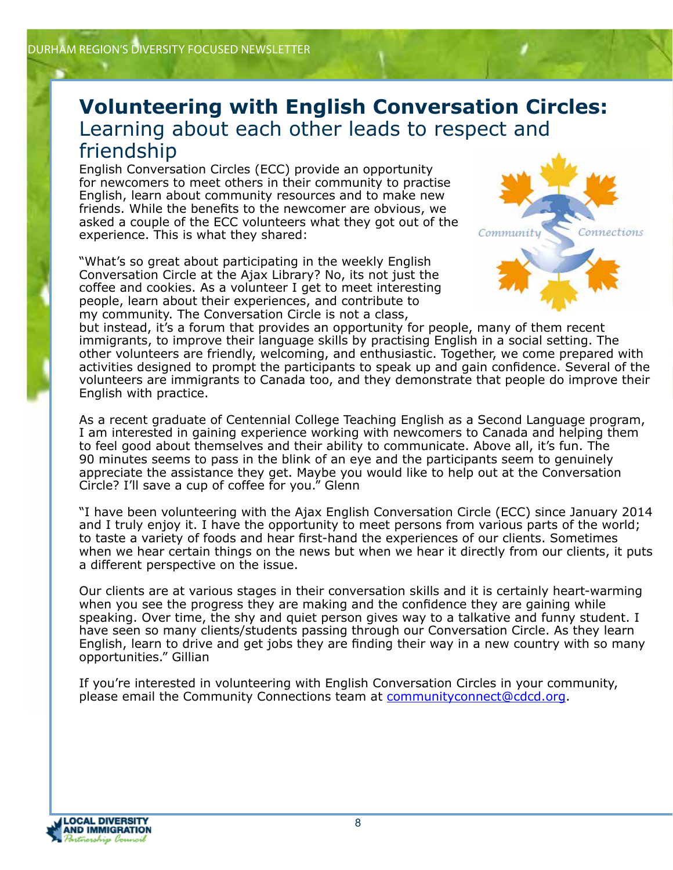#### **Volunteering with English Conversation Circles:** Learning about each other leads to respect and friendship

English Conversation Circles (ECC) provide an opportunity for newcomers to meet others in their community to practise English, learn about community resources and to make new friends. While the benefits to the newcomer are obvious, we asked a couple of the ECC volunteers what they got out of the experience. This is what they shared:

"What's so great about participating in the weekly English Conversation Circle at the Ajax Library? No, its not just the coffee and cookies. As a volunteer I get to meet interesting people, learn about their experiences, and contribute to my community. The Conversation Circle is not a class,



but instead, it's a forum that provides an opportunity for people, many of them recent immigrants, to improve their language skills by practising English in a social setting. The other volunteers are friendly, welcoming, and enthusiastic. Together, we come prepared with activities designed to prompt the participants to speak up and gain confidence. Several of the volunteers are immigrants to Canada too, and they demonstrate that people do improve their English with practice.

As a recent graduate of Centennial College Teaching English as a Second Language program, I am interested in gaining experience working with newcomers to Canada and helping them to feel good about themselves and their ability to communicate. Above all, it's fun. The 90 minutes seems to pass in the blink of an eye and the participants seem to genuinely appreciate the assistance they get. Maybe you would like to help out at the Conversation Circle? I'll save a cup of coffee for you." Glenn

"I have been volunteering with the Ajax English Conversation Circle (ECC) since January 2014 and I truly enjoy it. I have the opportunity to meet persons from various parts of the world; to taste a variety of foods and hear first-hand the experiences of our clients. Sometimes when we hear certain things on the news but when we hear it directly from our clients, it puts a different perspective on the issue.

Our clients are at various stages in their conversation skills and it is certainly heart-warming when you see the progress they are making and the confidence they are gaining while speaking. Over time, the shy and quiet person gives way to a talkative and funny student. I have seen so many clients/students passing through our Conversation Circle. As they learn English, learn to drive and get jobs they are finding their way in a new country with so many opportunities." Gillian

If you're interested in volunteering with English Conversation Circles in your community, please email the Community Connections team at communityconnect@cdcd.org.

**LOCAL DIVERSITY AND IMMIGRATION**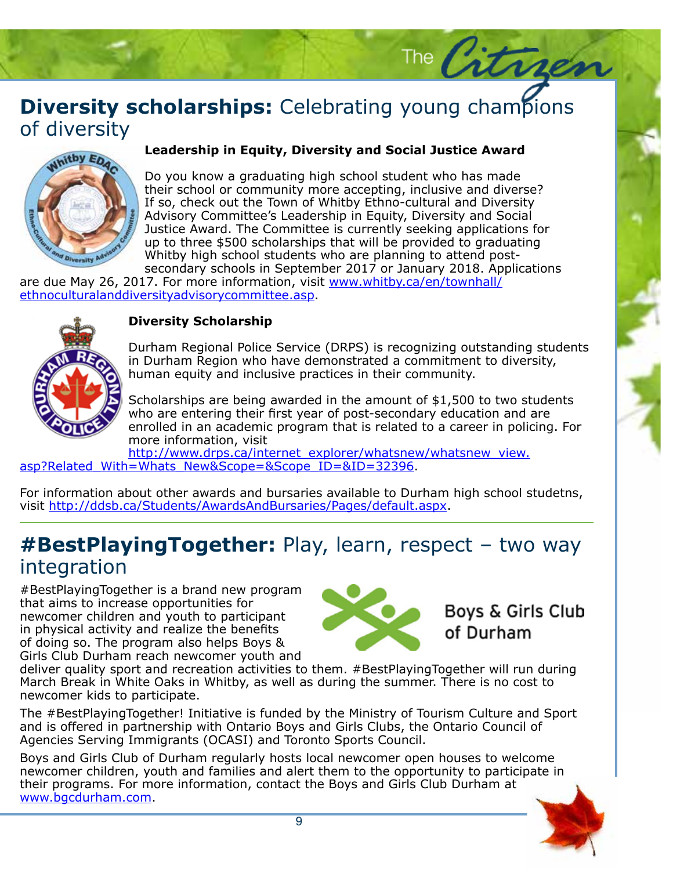### **Diversity scholarships:** Celebrating young champions of diversity of diversity



## **Leadership in Equity, Diversity and Social Justice Award**

The Citr

Do you know a graduating high school student who has made their school or community more accepting, inclusive and diverse? If 30, Check out the Town of Willey Ethno caltural and Biversity<br>Advisory Committee's Leadership in Equity, Diversity and Social Justice Award. The Committee is currently seeking applications for up to three \$500 scholarships that will be provided to graduating Whitby high school students who are planning to attend postsecondary schools in September 2017 or January 2018. Applications If so, check out the Town of Whitby Ethno-cultural and Diversity

are due May 26, 2017. For more information, visit www.whitby.ca/en/townhall/ <u>ethnoculturalanddiversityadvisorycommittee.asp</u>.



#### **Diversity Scholarship**

**DIVersity Scholarship**<br>Durham Regional Police Service (DRPS) is recognizing outstanding students In Durnam Region who have demonstrated a commitment to diversity,<br>human equity and inclusive practices in their community. in Durham Region who have demonstrated a commitment to diversity,

Scholarships are being awarded in the amount of \$1,500 to two students who are entering their first year of post-secondary education and are enrolled in an academic program that is related to a career in policing. For more information, visit

http://www.drps.ca/internet\_explorer/whatsnew/whatsnew\_view. asp?Related\_With=Whats\_New&Scope=&Scope\_ID=&ID=32396.

For information about other awards and bursaries available to Durham high school studetns, visit http://ddsb.ca/Students/AwardsAndBursaries/Pages/default.aspx.

#### **#BestPlayingTogether:** Play, learn, respect – two way integration

#BestPlayingTogether is a brand new program that aims to increase opportunities for newcomer children and youth to participant in physical activity and realize the benefits of doing so. The program also helps Boys & Girls Club Durham reach newcomer youth and



**Boys & Girls Club** of Durham

deliver quality sport and recreation activities to them. #BestPlayingTogether will run during March Break in White Oaks in Whitby, as well as during the summer. There is no cost to newcomer kids to participate.

The #BestPlayingTogether! Initiative is funded by the Ministry of Tourism Culture and Sport and is offered in partnership with Ontario Boys and Girls Clubs, the Ontario Council of Agencies Serving Immigrants (OCASI) and Toronto Sports Council.

Boys and Girls Club of Durham regularly hosts local newcomer open houses to welcome newcomer children, youth and families and alert them to the opportunity to participate in their programs. For more information, contact the Boys and Girls Club Durham at www.bgcdurham.com.

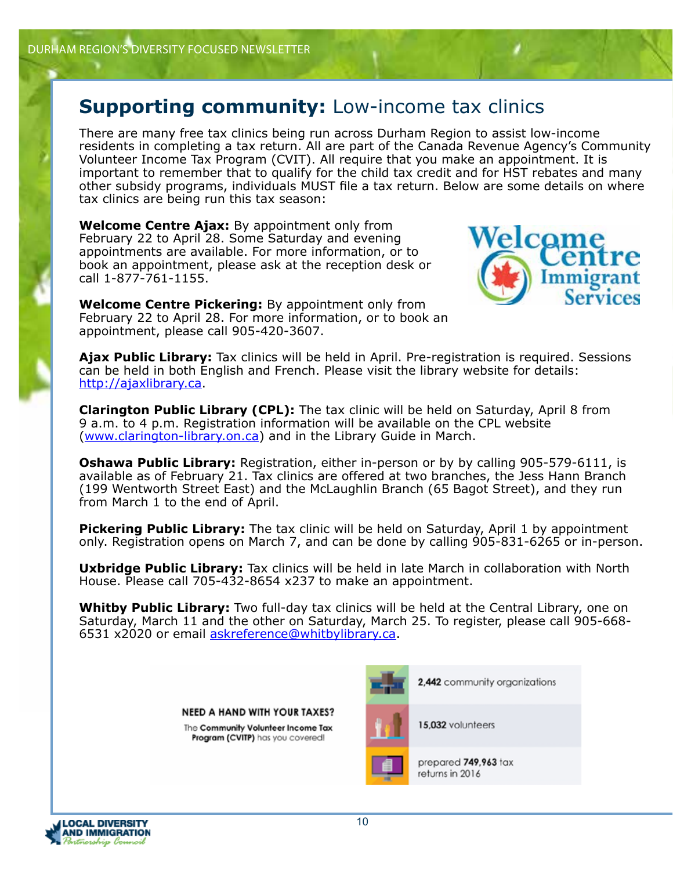#### **Supporting community:** Low-income tax clinics

There are many free tax clinics being run across Durham Region to assist low-income residents in completing a tax return. All are part of the Canada Revenue Agency's Community Volunteer Income Tax Program (CVIT). All require that you make an appointment. It is important to remember that to qualify for the child tax credit and for HST rebates and many other subsidy programs, individuals MUST file a tax return. Below are some details on where tax clinics are being run this tax season:

**Welcome Centre Ajax:** By appointment only from February 22 to April 28. Some Saturday and evening appointments are available. For more information, or to book an appointment, please ask at the reception desk or call 1-877-761-1155.

**Welcome Centre Pickering:** By appointment only from February 22 to April 28. For more information, or to book an appointment, please call 905-420-3607.



**Ajax Public Library:** Tax clinics will be held in April. Pre-registration is required. Sessions can be held in both English and French. Please visit the library website for details: http://ajaxlibrary.ca.

**Clarington Public Library (CPL):** The tax clinic will be held on Saturday, April 8 from 9 a.m. to 4 p.m. Registration information will be available on the CPL website (www.clarington-library.on.ca) and in the Library Guide in March.

**Oshawa Public Library:** Registration, either in-person or by by calling 905-579-6111, is available as of February 21. Tax clinics are offered at two branches, the Jess Hann Branch (199 Wentworth Street East) and the McLaughlin Branch (65 Bagot Street), and they run from March 1 to the end of April.

**Pickering Public Library:** The tax clinic will be held on Saturday, April 1 by appointment only. Registration opens on March 7, and can be done by calling 905-831-6265 or in-person.

**Uxbridge Public Library:** Tax clinics will be held in late March in collaboration with North House. Please call 705-432-8654 x237 to make an appointment.

**Whitby Public Library:** Two full-day tax clinics will be held at the Central Library, one on Saturday, March 11 and the other on Saturday, March 25. To register, please call 905-668- 6531 x2020 or email askreference@whitbylibrary.ca.

> **NEED A HAND WITH YOUR TAXES?** The Community Volunteer Income Tax Program (CVITP) has you covered!



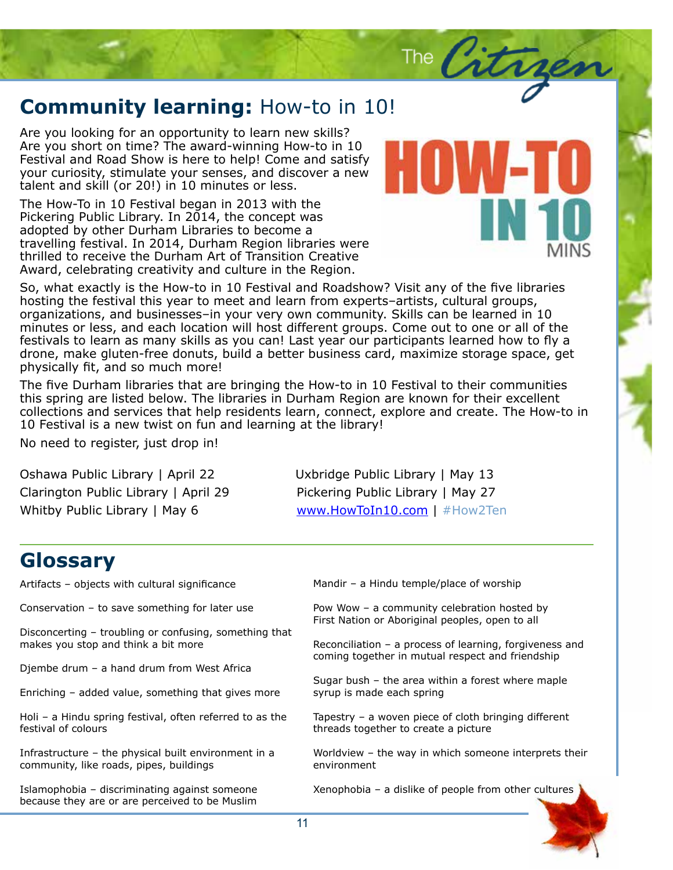# **Community learning:** How-to in 10!<br>Are you looking for an opportunity to learn new skills?

Are you looking for an opportunity to learn new skills? Are you short on time? The award-winning How-to in 10 Festival and Road Show is here to help! Come and satisfy your curiosity, stimulate your senses, and discover a new talent and skill (or 20!) in 10 minutes or less.

The How-To in 10 Festival began in 2013 with the Pickering Public Library. In 2014, the concept was adopted by other Durham Libraries to become a travelling festival. In 2014, Durham Region libraries were thrilled to receive the Durham Art of Transition Creative Award, celebrating creativity and culture in the Region.

So, what exactly is the How-to in 10 Festival and Roadshow? Visit any of the five libraries hosting the festival this year to meet and learn from experts–artists, cultural groups, organizations, and businesses–in your very own community. Skills can be learned in 10 minutes or less, and each location will host different groups. Come out to one or all of the festivals to learn as many skills as you can! Last year our participants learned how to fly a drone, make gluten-free donuts, build a better business card, maximize storage space, get physically fit, and so much more!

The five Durham libraries that are bringing the How-to in 10 Festival to their communities this spring are listed below. The libraries in Durham Region are known for their excellent collections and services that help residents learn, connect, explore and create. The How-to in 10 Festival is a new twist on fun and learning at the library!

No need to register, just drop in!

Oshawa Public Library | April 22 Uxbridge Public Library | May 13 Clarington Public Library | April 29 Pickering Public Library | May 27 Whitby Public Library | May 6 www.HowToIn10.com | #How2Ten

#### **Glossary**

Artifacts – objects with cultural significance

Conservation – to save something for later use

Disconcerting – troubling or confusing, something that makes you stop and think a bit more

Djembe drum – a hand drum from West Africa

Enriching – added value, something that gives more

Holi – a Hindu spring festival, often referred to as the festival of colours

Infrastructure – the physical built environment in a community, like roads, pipes, buildings

Islamophobia – discriminating against someone because they are or are perceived to be Muslim

Mandir – a Hindu temple/place of worship

Pow Wow – a community celebration hosted by First Nation or Aboriginal peoples, open to all

Reconciliation – a process of learning, forgiveness and coming together in mutual respect and friendship

The City

Sugar bush – the area within a forest where maple syrup is made each spring

Tapestry – a woven piece of cloth bringing different threads together to create a picture

Worldview – the way in which someone interprets their environment

Xenophobia – a dislike of people from other cultures